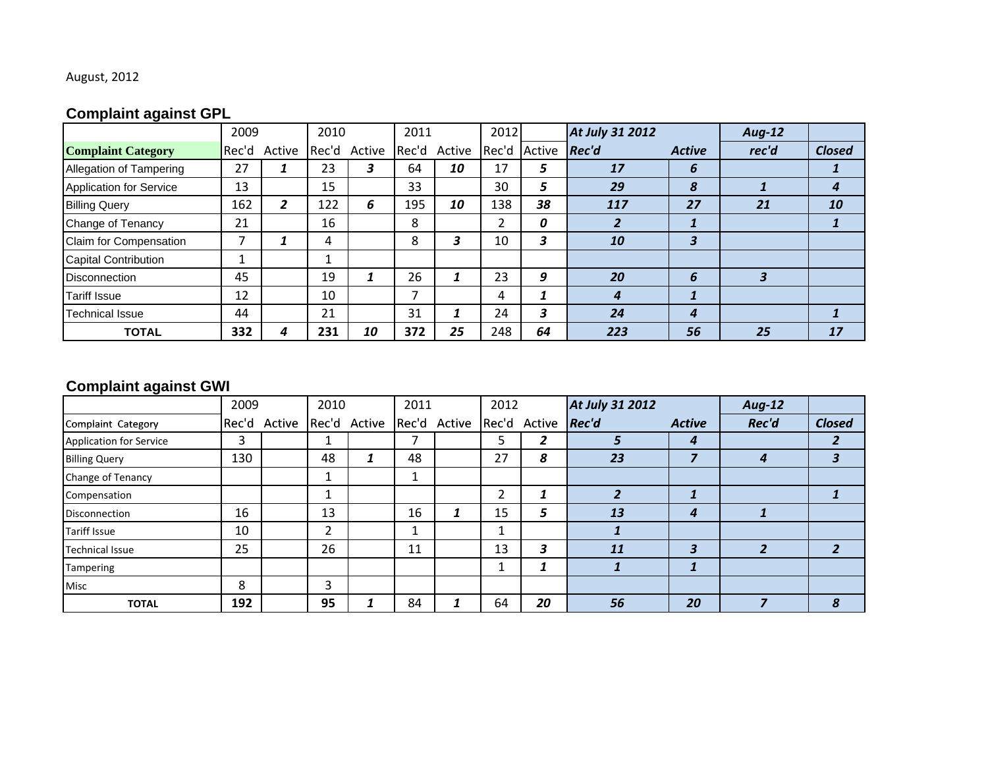## August, 2012

# **Complaint against GPL**

|                                | 2009  |        | 2010  |        | 2011 |              | 2012  |        | At July 31 2012 |               | <b>Aug-12</b> |               |
|--------------------------------|-------|--------|-------|--------|------|--------------|-------|--------|-----------------|---------------|---------------|---------------|
| <b>Complaint Category</b>      | Rec'd | Active | Rec'd | Active |      | Rec'd Active | Rec'd | Active | Rec'd           | <b>Active</b> | rec'd         | <b>Closed</b> |
| Allegation of Tampering        | 27    |        | 23    | 3      | 64   | 10           | 17    |        | 17              | ь             |               |               |
| <b>Application for Service</b> | 13    |        | 15    |        | 33   |              | 30    | 5      | 29              | 8             |               |               |
| <b>Billing Query</b>           | 162   | 2      | 122   | 6      | 195  | 10           | 138   | 38     | 117             | 27            | 21            | 10            |
| Change of Tenancy              | 21    |        | 16    |        | 8    |              |       |        |                 |               |               |               |
| Claim for Compensation         |       |        | 4     |        | 8    | 3            | 10    |        | 10              | 3             |               |               |
| <b>Capital Contribution</b>    |       |        |       |        |      |              |       |        |                 |               |               |               |
| <b>Disconnection</b>           | 45    |        | 19    |        | 26   |              | 23    | 9      | 20              | 6             |               |               |
| <b>Tariff Issue</b>            | 12    |        | 10    |        |      |              | 4     |        | 4               |               |               |               |
| <b>Technical Issue</b>         | 44    |        | 21    |        | 31   |              | 24    | 3      | 24              | 4             |               |               |
| <b>TOTAL</b>                   | 332   | 4      | 231   | 10     | 372  | 25           | 248   | 64     | 223             | 56            | 25            | 17            |

# **Complaint against GWI**

|                                | 2009  |        | 2010  |        | 2011 |              | 2012 |              | At July 31 2012         |                         | <b>Aug-12</b> |               |
|--------------------------------|-------|--------|-------|--------|------|--------------|------|--------------|-------------------------|-------------------------|---------------|---------------|
| Complaint Category             | Rec'd | Active | Rec'd | Active |      | Rec'd Active |      | Rec'd Active | <b>Rec'd</b>            | <b>Active</b>           | Rec'd         | <b>Closed</b> |
| <b>Application for Service</b> | 3     |        |       |        |      |              | ∍    | 2            | ∍                       | 4                       |               | 2             |
| <b>Billing Query</b>           | 130   |        | 48    | -1     | 48   |              | 27   | 8            | 23                      |                         |               | 3             |
| Change of Tenancy              |       |        |       |        |      |              |      |              |                         |                         |               |               |
| Compensation                   |       |        |       |        |      |              | ∍    |              | $\overline{\mathbf{z}}$ | 1                       |               |               |
| <b>Disconnection</b>           | 16    |        | 13    |        | 16   |              | 15   | 5            | 13                      | 4                       |               |               |
| <b>Tariff Issue</b>            | 10    |        | 2     |        |      |              |      |              |                         |                         |               |               |
| <b>Technical Issue</b>         | 25    |        | 26    |        | 11   |              | 13   | 3            | 11                      | $\overline{\mathbf{3}}$ |               | $\mathbf{2}$  |
| Tampering                      |       |        |       |        |      |              |      |              |                         |                         |               |               |
| Misc                           | 8     |        | 3     |        |      |              |      |              |                         |                         |               |               |
| <b>TOTAL</b>                   | 192   |        | 95    |        | 84   |              | 64   | 20           | 56                      | 20                      |               | 8             |